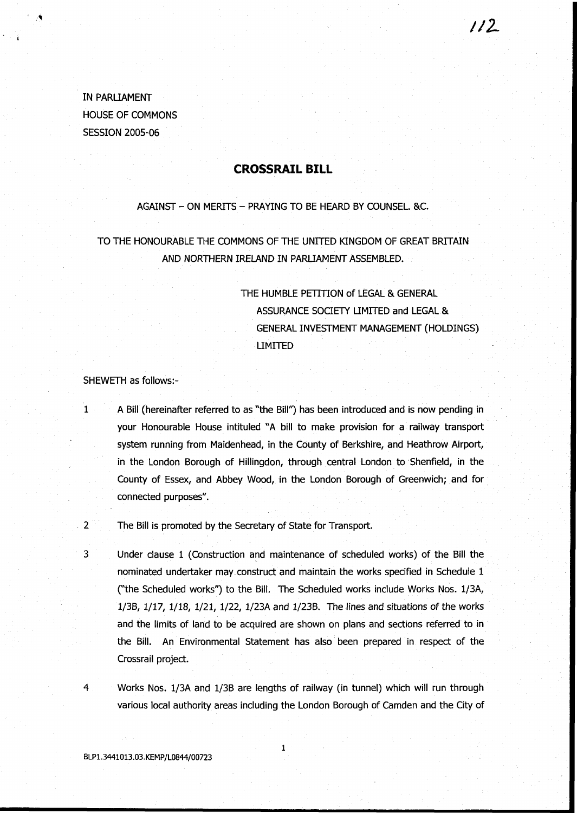IN PARLIAMENT HOUSE OF COMMONS SESSION 2005-06

## **CROSSRAIL BILL**

#### AGAINST - ON MERITS - PRAYING TO BE HEARD BY COUNSEL. &C.

TO THE HONOURABLE THE COMMONS OF THE UNITED KINGDOM OF GREAT BRITAIN AND NORTHERN IRELAND IN PARLIAMENT ASSEMBLED.

> THE HUMBLE PETITION of LEGAL & GENERAL ASSURANCE SOCIETY LIMITED and LEGAL & GENERAL INVESTMENT MANAGEMENT (HOLDINGS) LIMITED

//z

SHEWETH as follows:-

- 1 A Bill (hereinafter referred to as "the Bill") has been introduced and is now pending in your Honourable House intituled "A bill to make provision for a railway transport system running from Maidenhead, in the County of Berkshire, and Heathrow Airport, in the London Borough of Hillingdon, through central London to Shenfield, in the County of Essex, and Abbey Wood, in the London Borough of Greenwich; and for connected purposes".
- 2 The Bill is promoted by the Secretary of State for Transport.

3 Under clause 1 (Construction and maintenance of scheduled works) of the Bill the nominated undertaker may.construct and maintain the works specified in Schedule 1 ("the Scheduled works") to the Bill. The Scheduled works include Works Nos. 1/3A, 1/3B, 1/17, 1/18, 1/21, 1/22, 1/23A and 1/23B. The lines and situations of the works and the limits of land to be acquired are shown on plans and sections referred to in the Bill. An Environmental Statement has also been prepared in respect of the Crossrail project.

4 Works Nos. 1/3A and 1/3B are lengths of railway (in tunnel) which will run through various local authority areas including the London Borough of Camden and the City of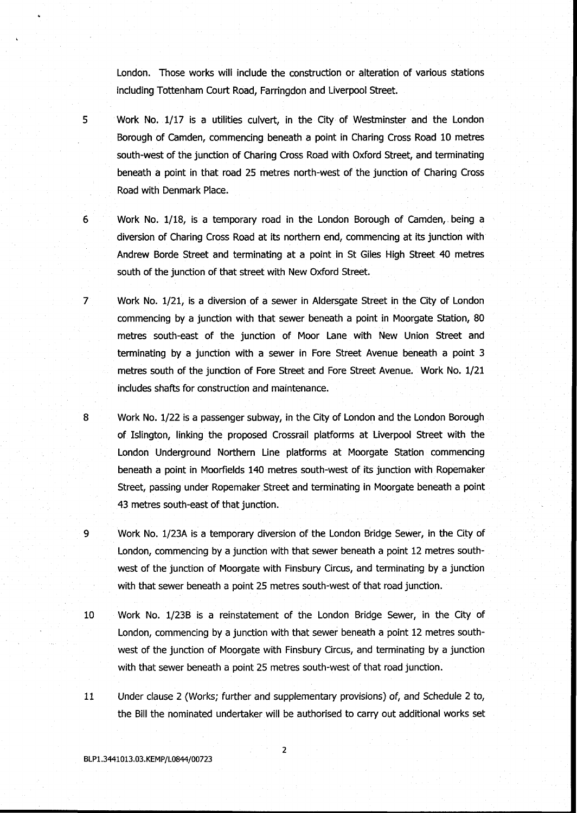London. Those works will include the construction or alteration of various stations including Tottenham Court Road, Farringdon and Liverpool Street.

- 5 Work No. 1/17 is a utilities culvert, in the City of Westminster and the London Borough of Camden, commencing beneath a point in Charing Cross Road 10 metres south-west of the junction of Charing Cross Road with Oxford Street, and terminating beneath a point in that road 25 metres north-west of the junction of Charing Cross Road with Denmark Place.
- 6 Work No. 1/18, is a temporary road in the London Borough of Camden, being a diversion of Charing Cross Road at its northern end, commencing at its junction with Andrew Borde Street and terminating at a point in St Giles High Street 40 metres south of the junction of that street with New Oxford Street.
- 7 Work No. 1/21, is a diversion of a sewer in Aldersgate Street in the City of London commencing by a junction with that sewer beneath a point in Moorgate Station, 80 metres south-east of the junction of Moor Lane with New Union Street and terminating by a junction with a sewer in Fore Street Avenue beneath a point 3 metres south of the junction of Fore Street and Fore Street Avenue. Work No. 1/21 includes shafts for construction and maintenance.
- 8 Work No. 1/22 is a passenger subway, in the City of London and the London Borough of Islington, linking the proposed Crossrail platforms at Liverpool Street with the London Underground Northern Line platforms at Moorgate Station commencing beneath a point in Moorfields 140 metres south-west of its junction with Ropemaker Street, passing under Ropemaker Street and terminating in Moorgate beneath a point 43 metres south-east of that junction.
- 9 Work No. 1/23A is a temporary diversion of the London Bridge Sewer, in the City of London, commencing by a junction with that sewer beneath a point 12 metres southwest of the junction of Moorgate with Finsbury Circus, and terminating by a junction with that sewer beneath a point 25 metres south-west of that road junction.
- 10 Work No. 1/23B is a reinstatement of the London Bridge Sewer, in the City of London, commencing by a junction with that sewer beneath a point 12 metres southwest of the junction of Moorgate with Finsbury Circus, and terminating by a junction with that sewer beneath a point 25 metres south-west of that road junction.
- 11 Under clause 2 (Works; further and supplementary provisions) of, and Schedule 2 to, the Bill the nominated undertaker will be authorised to carry out additional works set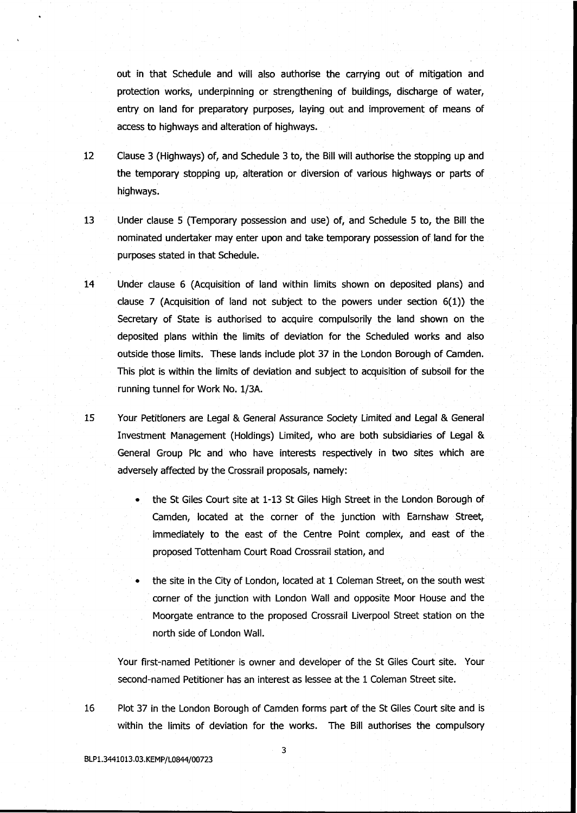out in that Schedule and will also authorise the carrying out of mitigation and protection works, underpinning or strengthening of buildings, discharge of water, entry on land for preparatory purposes, laying out and improvement of means of access to highways and alteration of highways.

- 12 Clause 3 (Highways) of, and Schedule 3 to, the Bill will authorise the stopping up and the temporary stopping up, alteration or diversion of various highways or parts of highways.
- 13 Under clause 5 (Temporary possession and use) of, and Schedule 5 to, the Bill the nominated undertaker may enter upon and take temporary possession of land for the purposes stated in that Schedule.
- 14 Under clause 6 (Acquisition of land within limits shown on deposited plans) and clause 7 (Acquisition of land not subject to the powers under section  $6(1)$ ) the Secretary of State is authorised to acquire compulsorily the land shown on the deposited plans within the limits of deviation for the Scheduled works and also outside those limits. These lands include plot 37 in the London Borough of Camden. This plot is within the limits of deviation and subject to acquisition of subsoil for the running tunnel for Work No. 1/3A.
- 15 Your Petitioners are Legal & General Assurance Society Limited and Legal & General Investment Management (Holdings) Limited, who are both subsidiaries of Legal & General Group Pic and who have interests respectively in two sites which are adversely affected by the Crossrail proposals, namely:
	- the St Giles Court site at 1-13 St Giles High Street in the London Borough of Camden, located at the corner of the junction with Earnshaw Street, immediately to the east of the Centre Point complex, and east of the proposed Tottenham Court Road Crossrail station, and
	- the site in the City of London, located at 1 Coleman Street, on the south west corner of the junction with London Wall and opposite Moor House and the Moorgate entrance to the proposed Crossrail Liverpool Street station on the north side of London Wall.

Your first-named Petitioner is owner and developer of the St Giles Court site. Your second-named Petitioner has an interest as lessee at the 1 Coleman Street site.

16 Plot 37 in the London Borough of Camden forms part of the St Giles Court site and is within the limits of deviation for the works. The Bill authorises the compulsory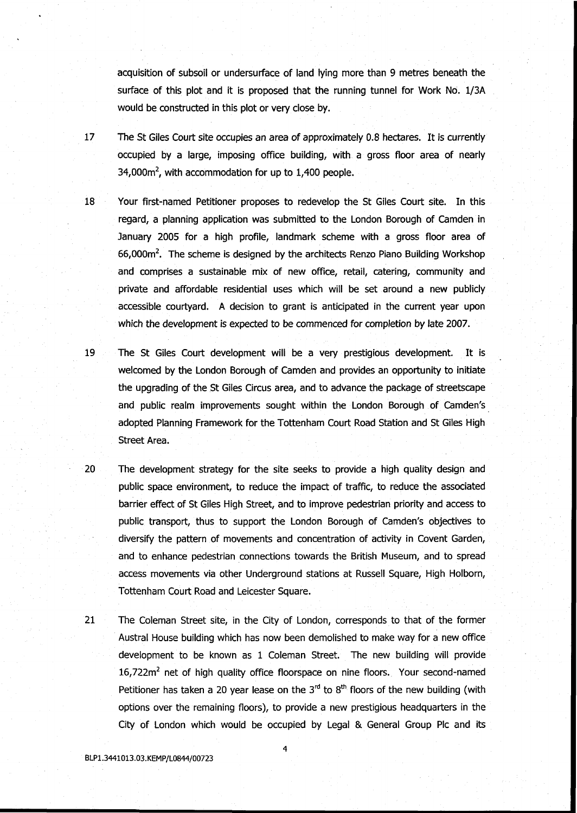acquisition of subsoil or undersurface of land lying more than 9 metres beneath the surface of this plot and it is proposed that the running tunnel for Work No. 1/3A would be constructed in this plot or very close by.

- 17 The St Giles Court site occupies an area of approximately 0.8 hectares. It is currently occupied by a large, imposing office building, with a gross floor area of nearly 34,000 $m^2$ , with accommodation for up to 1,400 people.
- 18 Your first-named Petitioner proposes to redevelop the St Giles Court site. In this regard, a planning application was submitted to the London Borough of Camden in January 2005 for a high profile, landmark scheme with a gross floor area of 66,000m<sup>2</sup>. The scheme is designed by the architects Renzo Piano Building Workshop and comprises a sustainable mix of new office, retail, catering, community and private and affordable residential uses which will be set around a new publicly accessible courtyard. A decision to grant is anticipated in the current year upon which the development is expected to be commenced for completion by late 2007.
- 19 The St Giles Court development will be a very prestigious development. It is welcomed by the London Borough of Camden and provides an opportunity to initiate the upgrading of the St Giles Circus area, and to advance the package of streetscape and public realm improvements sought within the London Borough of Camden's adopted Planning Framework for the Tottenham Court Road Station and St Giles High Street Area.
- 20 The development strategy for the site seeks to provide a high quality design and public space environment, to reduce the impact of traffic, to reduce the associated barrier effect of St Giles High Street, and to improve pedestrian priority and access to public transport, thus to support the London Borough of Camden's objectives to diversify the pattern of movements and concentration of activity in Covent Garden, and to enhance pedestrian connections towards the British Museum, and to spread access movements via other Underground stations at Russell Square, High Holborn, Tottenham Court Road and Leicester Square.
- 21 The Coleman Street site, in the City of London, corresponds to that of the former Austral House building which has now been demolished to make way for a new office development to be known as 1 Coleman Street. The new building will provide 16,722m<sup>2</sup> net of high quality office floorspace on nine floors. Your second-named Petitioner has taken a 20 year lease on the 3<sup>rd</sup> to 8<sup>th</sup> floors of the new building (with options over the remaining floors), to provide a new prestigious headquarters in the City of London which would be occupied by Legal & General Group Pic and its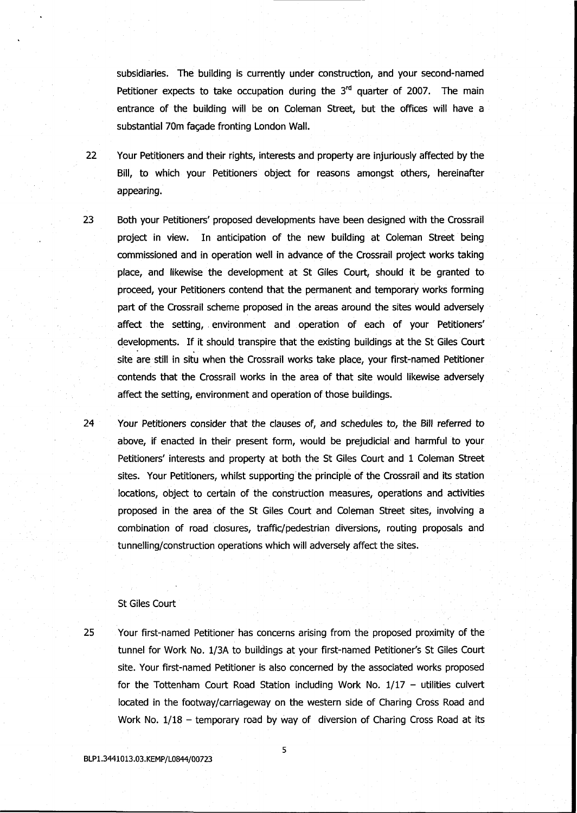subsidiaries. The building is currently under construction, and your second-named Petitioner expects to take occupation during the 3<sup>rd</sup> quarter of 2007. The main entrance of the building will be on Coleman Street, but the offices will have a substantial 70m facade fronting London Wall.

- 22 Your Petitioners and their rights, interests and property are injuriously affected by the Bill, to which your Petitioners object for reasons amongst others, hereinafter appearing.
- 23 Both your Petitioners' proposed developments have been designed with the Crossrail project in view. In anticipation of the new building at Coleman Street being commissioned and in operation well in advance of the Crossrail project works taking place, and likewise the development at St Giles Court, should it be granted to proceed, your Petitioners contend that the permanent and temporary works forming part of the Crossrail scheme proposed in the areas around the sites would adversely affect the setting, environment and operation of each of your Petitioners' developments. If it should transpire that the existing buildings at the St Giles Court site are still in situ when the Crossrail works take place, your first-named Petitioner contends that the Crossrail works in the area of that site would likewise adversely affect the setting, environment and operation of those buildings.

24 Your Petitioners consider that the clauses of, and schedules to, the Bill referred to above, if enacted in their present form, would be prejudicial and harmful to your Petitioners' interests and property at both the St Giles Court and 1 Coleman Street sites. Your Petitioners, whilst supporting the principle of the Crossrail and its station locations, object to certain of the construction measures, operations and activities proposed in the area of the St Giles Court and Coleman Street sites, involving a combination of road closures, traffic/pedestrian diversions, routing proposals and tunnelling/construction operations which will adversely affect the sites.

### St Giles Court

25 Your first-named Petitioner has concerns arising from the proposed proximity of the tunnel for Work No. 1/3A to buildings at your first-named Petitioner's St Giles Court site. Your first-named Petitioner is also concerned by the associated works proposed for the Tottenham Court Road Station including Work No.  $1/17 -$  utilities culvert located in the footway/carriageway on the western side of Charing Cross Road and Work No. 1/18 - temporary road by way of diversion of Charing Cross Road at its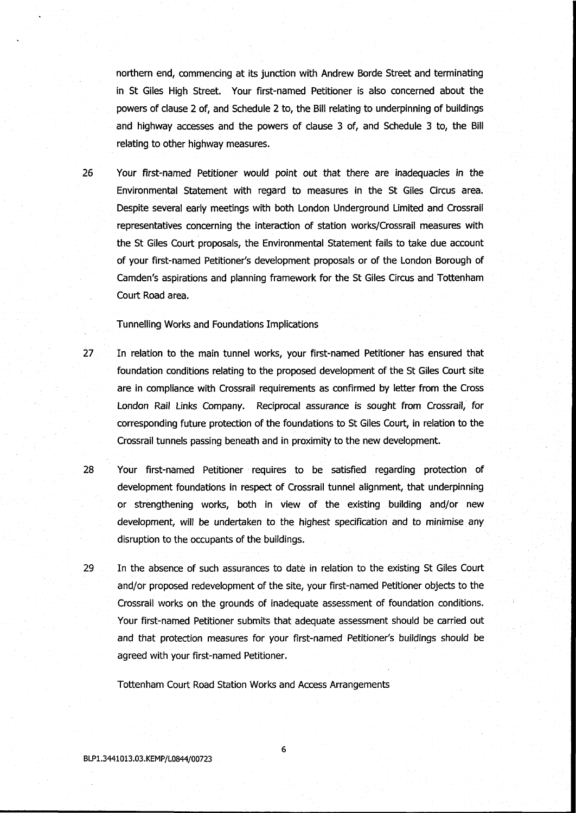northern end, commencing at its junction with Andrew Borde Street and terminating in St Giles High Street. Your first-named Petitioner is also concerned about the powers of clause 2 of, and Schedule 2 to, the Bill relating to underpinning of buildings and highway accesses and the powers of clause 3 of, and Schedule 3 to, the Bill relating to other highway measures.

26 Your first-named Petitioner would point out that there are inadequacies in the Environmental Statement with regard to measures in the St Giles Circus area. Despite several early meetings with both London Underground Limited and Crossrail representatives concerning the interaction of station works/Crossrail measures with the St Giles Court proposals, the Environmental Statement fails to take due account of your first-named Petitioner's development proposals or of the London Borough of Camden's aspirations and planning framework for the St Giles Circus and Tottenham Court Road area.

Tunnelling Works and Foundations Implications

- 27 In relation to the main tunnel works, your first-named Petitioner has ensured that foundation conditions relating to the proposed development of the St Giles Court site are in compliance with Crossrail requirements as confirmed by letter from the Cross London Rail Links Company. Reciprocal assurance is sought from Crossrail, for corresponding future protection of the foundations to St Giles Court, in relation to the Crossrail tunnels passing beneath and in proximity to the new development.
- 28 Your first-named Petitioner requires to be satisfied regarding protection of development foundations in respect of Crossrail tunnel alignment, that underpinning or strengthening works, both in view of the existing building and/or new development, will be undertaken to the highest specification and to minimise any disruption to the occupants of the buildings.
- 29 In the absence of such assurances to date in relation to the existing St Giles Court and/or proposed redevelopment of the site, your first-named Petitioner objects to the Crossrail works on the grounds of inadequate assessment of foundation conditions. Your first-named Petitioner submits that adequate assessment should be carried out and that protection measures for your first-named Petitioner's buildings should be agreed with your first-named Petitioner.

Tottenham Court Road Station Works and Access Arrangements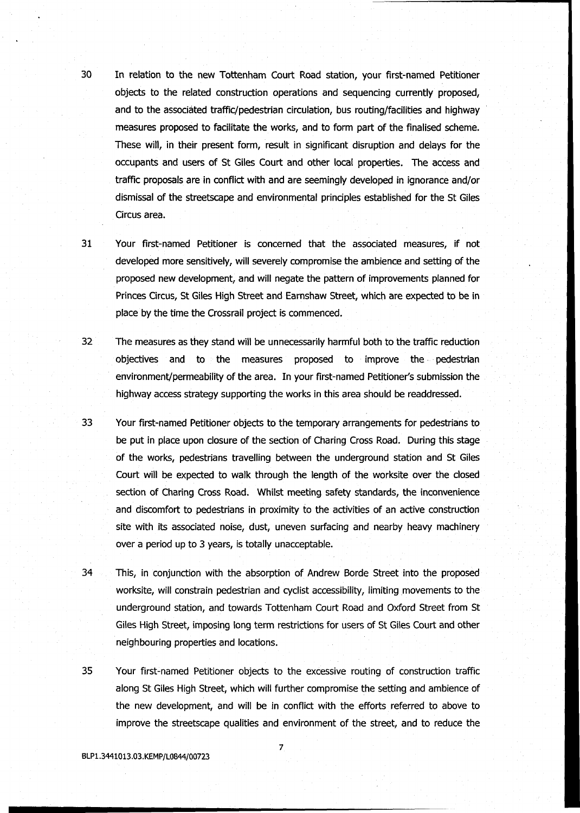- 30 In relation to the new Tottenham Court Road station, your first-named Petitioner objects to the related construction operations and sequencing currently proposed, and to the associated traffic/pedestrian circulation, bus routing/facilities and highway measures proposed to facilitate the works, and to form part of the finalised scheme. These will, in their present form, result in significant disruption and delays for the occupants and users of St Giles Court and other local properties. The access and traffic proposals are in conflict with and are seemingly developed in ignorance and/or dismissal of the streetscape and environmental principles established for the St Giles Circus area.
- 

31 Your first-named Petitioner is concerned that the associated measures, if not developed more sensitively, will severely compromise the ambience and setting of the proposed new development, and will negate the pattern of improvements planned for Princes Circus, St Giles High Street and Earnshaw Street, which are expected to be in place by the time the Crossrail project is commenced.

- 32 The measures as they stand will be unnecessarily harmful both to the traffic reduction objectives and to the measures proposed to improve the pedestrian environment/permeability of the area. In your first-named Petitioner's submission the highway access strategy supporting the works in this area should be readdressed.
- 33 Your first-named Petitioner objects to the temporary arrangements for pedestrians to be put in place upon closure of the section of Charing Cross Road. During this stage of the works, pedestrians travelling between the underground station and St Giles Court will be expected to walk through the length of the worksite over the closed section of Charing Cross Road. Whilst meeting safety standards, the inconvenience and discomfort to pedestrians in proximity to the activities of an active construction site with its associated noise, dust, uneven surfacing and nearby heavy machinery over a period up to 3 years, is totally unacceptable.
- 34 This, in conjunction with the absorption of Andrew Borde Street into the proposed worksite, will constrain pedestrian and cyclist accessibility, limiting movements to the underground station, and towards Tottenham Court Road and Oxford Street from St Giles High Street, imposing long term restrictions for users of St Giles Court and other neighbouring properties and locations.
- 35 Your first-named Petitioner objects to the excessive routing of construction traffic along St Giles High Street, which will further compromise the setting and ambience of the new development, and will be in conflict with the efforts referred to above to improve the streetscape qualities and environment of the street, and to reduce the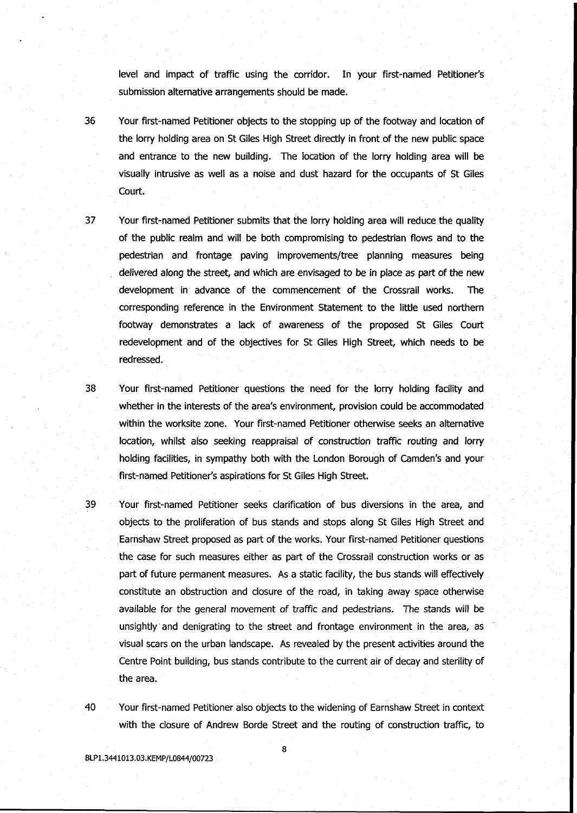level and impact of traffic using the corridor. In your first-named Petitioner's submission alternative arrangements should be made.

- 36 Your first-named Petitioner objects to the stopping up of the footway and location of the lorry holding area on St Giles High Street directly in front of the new public space and entrance to the new building. The location of the lorry holding area will be visually intrusive as well as a noise and dust hazard for the occupants of St Giles Court.
- 37 Your first-named Petitioner submits that the lorry holding area will reduce the quality of the public realm and will be both compromising to pedestrian flows and to the pedestrian and frontage paving improvements/tree planning measures being delivered along the street, and which are envisaged to be in place as part of the new development in advance of the commencement of the Crossrail works. The corresponding reference in the Environment Statement to the little used northern footway demonstrates a lack of awareness of the proposed St Giles Court redevelopment and of the objectives for St Giles High Street, which needs to be redressed.
- 38 Your first-named Petitioner questions the need for the lorry holding facility and whether in the interests of the area's environment, provision could be accommodated within the worksite zone. Your first-named Petitioner otherwise seeks an alternative location, whilst also seeking reappraisal of construction traffic routing and lorry holding facilities, in sympathy both with the London Borough of Camden's and your first-named Petitioner's aspirations for St Giles High Street.
- 39 Your first-named Petitioner seeks clarification of bus diversions in the area, and objects to the proliferation of bus stands and stops along St Giles High Street and Earnshaw Street proposed as part of the works. Your first-named Petitioner questions the case for such measures either as part of the Crossrail construction works or as part of future permanent measures. As a static facility, the bus stands will effectively constitute an obstruction and closure of the road, in taking away space otherwise available for the general movement of traffic and pedestrians. The stands will be unsightly and denigrating to the street and frontage environment in the area, as visual scars on the urban landscape. As revealed by the present activities around the Centre Point building, bus stands contribute to the current air of decay and sterility of the area.
- 40 Your first-named Petitioner also objects to the widening of Earnshaw Street in context with the closure of Andrew Borde Street and the routing of construction traffic, to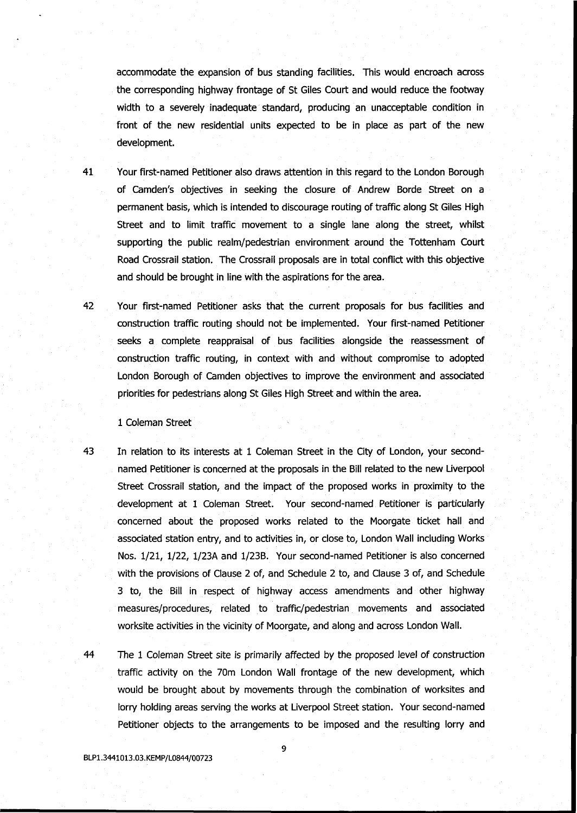accommodate the expansion of bus standing facilities. This would encroach across the corresponding highway frontage of St Giles Court and would reduce the footway width to a severely inadequate standard, producing an unacceptable condition in front of the new residential units expected to be in place as part of the new development.

- 41 Your first-named Petitioner also draws attention in this regard to the London Borough of Camden's objectives in seeking the closure of Andrew Borde Street on a permanent basis, which is intended to discourage routing of traffic along St Giles High Street and to limit traffic movement to a single lane along the street, whilst supporting the public realm/pedestrian environment around the Tottenham Court Road Crossrail station. The Crossrail proposals are in total conflict with this objective and should be brought in line with the aspirations for the area.
- 42 Your first-named Petitioner asks that the current proposals for bus facilities and construction traffic routing should not be implemented. Your first-named Petitioner seeks a complete reappraisal of bus facilities alongside the reassessment of construction traffic routing, in context with and without compromise to adopted London Borough of Camden objectives to improve the environment and associated priorities for pedestrians along St Giles High Street and within the area.

#### 1 Coleman Street

- 43 In relation to its interests at 1 Coleman Street in the City of London, your secondnamed Petitioner is concerned at the proposals in the Bill related to the new Liverpool Street Crossrail station, and the impact of the proposed works in proximity to the development at 1 Coleman Street. Your second-named Petitioner is particularly concerned about the proposed works related to the Moorgate ticket hall and associated station entry, and to activities in, or close to, London Wall including Works Nos. 1/21, 1/22, 1/23A and 1/23B. Your second-named Petitioner is also concerned with the provisions of Clause 2 of, and Schedule 2 to, and Clause 3 of, and Schedule 3 to, the Bill in respect of highway access amendments and other highway measures/procedures, related to traffic/pedestrian movements and associated worksite activities in the vicinity of Moorgate, and along and across London Wall.
- 44 The 1 Coleman Street site is primarily affected by the proposed level of construction traffic activity on the 70m London Wall frontage of the new development, which would be brought about by movements through the combination of worksites and lorry holding areas serving the works at Liverpool Street station. Your second-named Petitioner objects to the arrangements to be imposed and the resulting lorry and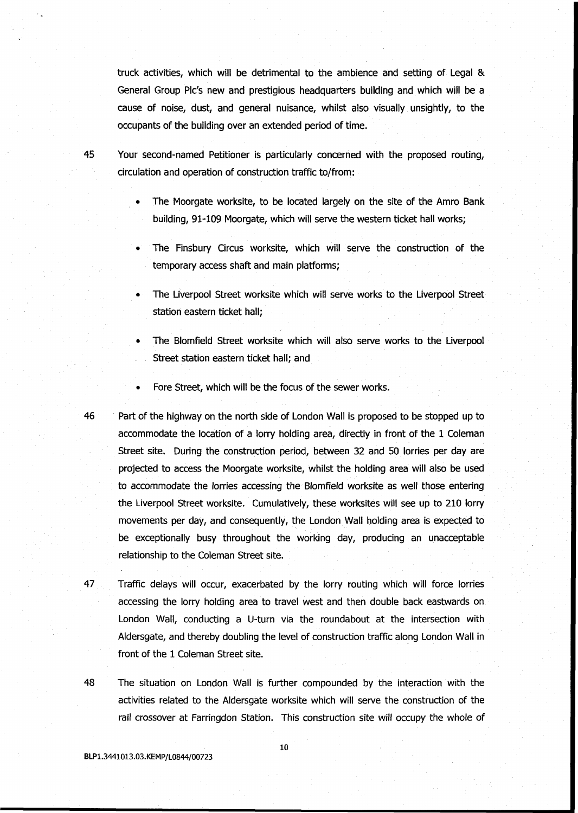truck activities, which will be detrimental to the ambience and setting of Legal & General Group Pic's new and prestigious headquarters building and which will be a cause of noise, dust, and general nuisance, whilst also visually unsightly, to the occupants of the building over an extended period of time.

45 Your second-named Petitioner is particularly concerned with the proposed routing, circulation and operation of construction traffic to/from:

- The Moorgate worksite, to be located largely on the site of the Amro Bank building, 91-109 Moorgate, which will serve the western ticket hall works;
- The Finsbury Circus worksite, which will serve the construction of the temporary access shaft and main platforms;
- The Liverpool Street worksite which will serve works to the Liverpool Street station eastern ticket hall;
- The Blomfield Street worksite which will also serve works to the Liverpool Street station eastern ticket hall; and
- Fore Street, which will be the focus of the sewer works.
- 46 Part of the highway on the north side of London Wall is proposed to be stopped up to accommodate the location of a lorry holding area, directly in front of the 1 Coleman Street site. During the construction period, between 32 and 50 lorries per day are projected to access the Moorgate worksite, whilst the holding area will also be used to accommodate the lorries accessing the Blomfield worksite as well those entering the Liverpool Street worksite. Cumulatively, these worksites will see up to 210 lorry movements per day, and consequently, the London Wall holding area is expected to be exceptionally busy throughout the working day, producing an unacceptable relationship to the Coleman Street site.
- 47 Traffic delays will occur, exacerbated by the lorry routing which will force lorries accessing the lorry holding area to travel west and then double back eastwards on London Wall, conducting a U-turn via the roundabout at the intersection with Aldersgate, and thereby doubling the level of construction traffic along London Wall in front of the 1 Coleman Street site.
- 48 The situation on London Wall is further compounded by the interaction with the activities related to the Aldersgate worksite which will serve the construction of the rail crossover at Farringdon Station. This construction site will occupy the whole of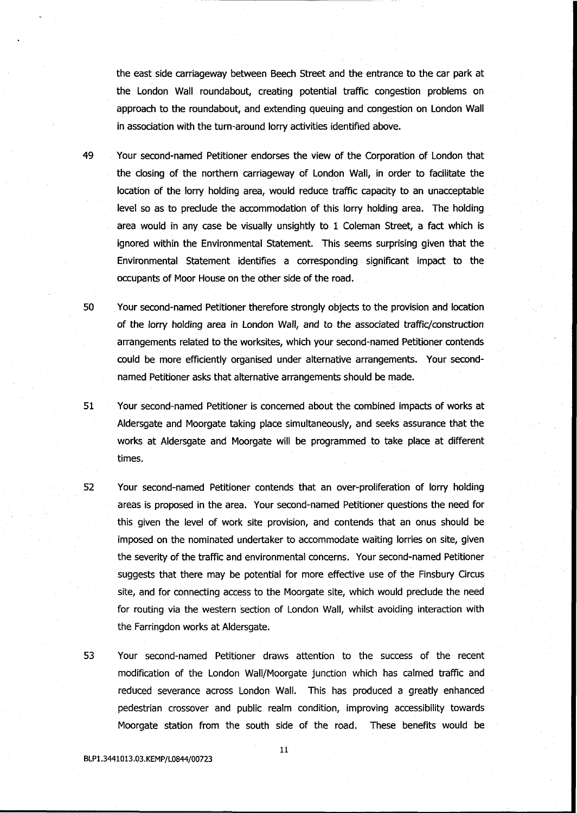the east side carriageway between Beech Street and the entrance to the car park at the London Wall roundabout, creating potential traffic congestion problems on approach to the roundabout, and extending queuing and congestion on London Wall in association with the turn-around lorry activities identified above.

- 49 Your second-named Petitioner endorses the view of the Corporation of London that the closing of the northern carriageway of London Wall, in order to facilitate the location of the lorry holding area, would reduce traffic capacity to an unacceptable level so as to preclude the accommodation of this lorry holding area. The holding area would in any case be visually unsightly to 1 Coleman Street, a fact which is ignored within the Environmental Statement. This seems surprising given that the Environmental Statement identifies a corresponding significant impact to the occupants of Moor House on the other side of the road.
- 50 Your second-named Petitioner therefore strongly objects to the provision and location of the lorry holding area in London Wall, and to the associated traffic/construction arrangements related to the worksites, which your second-named Petitioner contends could be more efficiently organised under alternative arrangements. Your secondnamed Petitioner asks that alternative arrangements should be made.
- 51 Your second-named Petitioner is concerned about the combined impacts of works at Aldersgate and Moorgate taking place simultaneously, and seeks assurance that the works at Aldersgate and Moorgate will be programmed to take place at different times.
- 52 Your second-named Petitioner contends that an over-proliferation of lorry holding areas is proposed in the area. Your second-named Petitioner questions the need for this given the level of work site provision, and contends that an onus should be imposed on the nominated undertaker to accommodate waiting lorries on site, given the severity of the traffic and environmental concerns. Your second-named Petitioner suggests that there may be potential for more effective use of the Finsbury Circus site, and for connecting access to the Moorgate site, which would preclude the need for routing via the western section of London Wall, whilst avoiding interaction with the Farringdon works at Aldersgate.
- 53 Your second-named Petitioner draws attention to the success of the recent modification of the London Wall/Moorgate junction which has calmed traffic and reduced severance across London Wall. This has produced a greatly enhanced pedestrian crossover and public realm condition, improving accessibility towards Moorgate station from the south side of the road. These benefits would be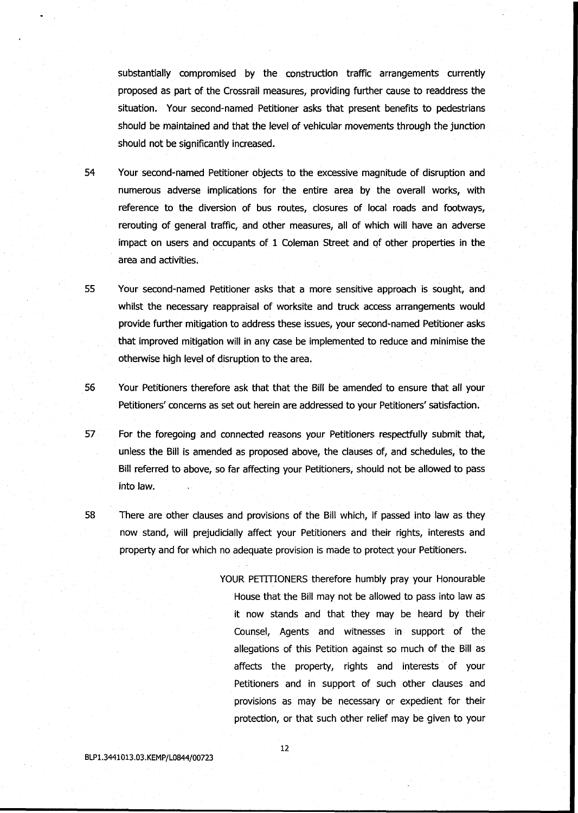substantially compromised by the construction traffic arrangements currently proposed as part of the Crossrail measures, providing further cause to readdress the situation. Your second-named Petitioner asks that present benefits to pedestrians should be maintained and that the level of vehicular movements through the junction should not be significantly increased.

54 Your second-named Petitioner objects to the excessive magnitude of disruption and numerous adverse implications for the entire area by the overall works, with reference to the diversion of bus routes, closures of local roads and footways, rerouting of general traffic, and other measures, all of which will have an adverse impact on users and occupants of 1 Coleman Street and of other properties in the area and activities.

55 Your second-named Petitioner asks that a more sensitive approach is sought, and whilst the necessary reappraisal of worksite and truck access arrangements would provide further mitigation to address these issues, your second-named Petitioner asks that improved mitigation will in any case be implemented to reduce and minimise the otherwise high level of disruption to the area.

56 Your Petitioners therefore ask that that the Bill be amended to ensure that all your Petitioners' concerns as set out herein are addressed to your Petitioners' satisfaction.

57 For the foregoing and connected reasons your Petitioners respectfully submit that, unless the Bill is amended as proposed above, the clauses of, and schedules, to the Bill referred to above, so far affecting your Petitioners, should not be allowed to pass into law.

58 There are other clauses and provisions of the Bill which, if passed into law as they now stand, will prejudicially affect your Petitioners and their rights, interests and property and for which no adequate provision is made to protect your Petitioners.

> YOUR PETITIONERS therefore humbly pray your Honourable House that the Bill may not be allowed to pass into law as it now stands and that they may be heard by their Counsel, Agents and witnesses in support of the allegations of this Petition against so much of the Bill as affects the property, rights and interests of your Petitioners and in support of such other clauses and provisions as may be necessary or expedient for their protection, or that such other relief may be given to your

BLP1.3441013.03.KEMP/L0844/00723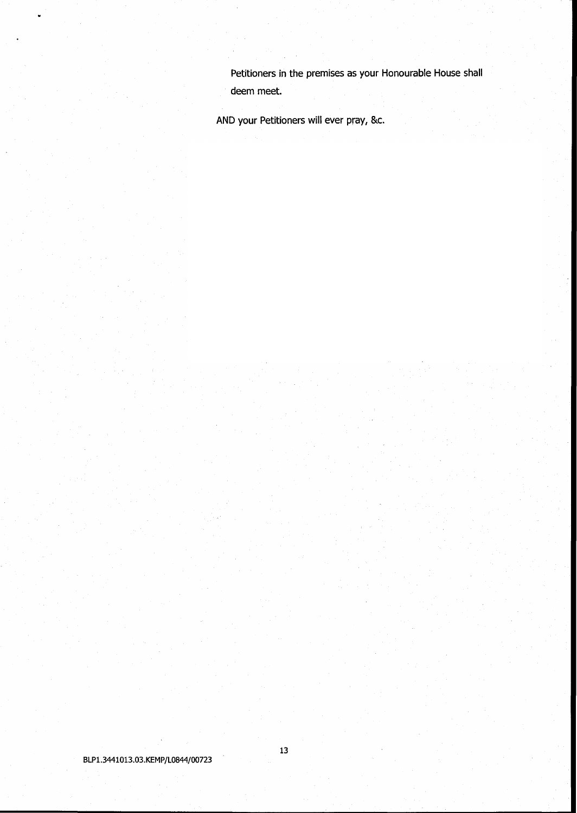Petitioners in the premises as your Honourable House shall deem meet.

AND your Petitioners will ever pray, &c.